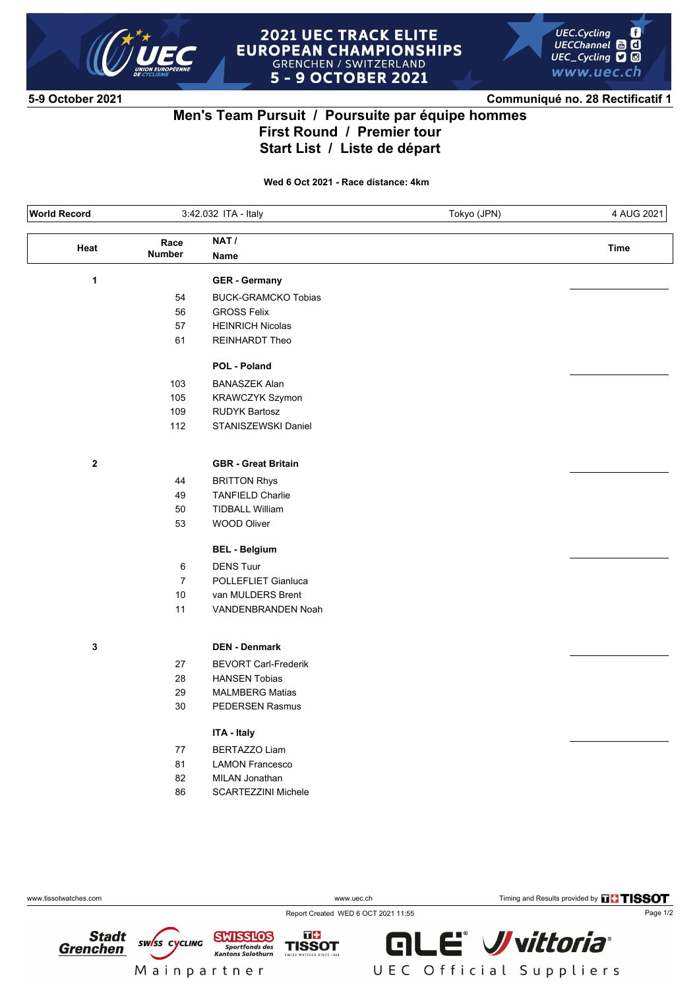

#### **2021 UEC TRACK ELITE EUROPEAN CHAMPIONSHIPS GRENCHEN / SWITZERLAND 5 - 9 OCTOBER 2021**



**5-9 October 2021 Communiqué no. 28 Rectificatif 1**

## **Men's Team Pursuit / Poursuite par équipe hommes First Round / Premier tour Start List / Liste de départ**

**Wed 6 Oct 2021 - Race distance: 4km**

| <b>World Record</b> |                       | 3:42.032 ITA - Italy        | Tokyo (JPN) | 4 AUG 2021  |
|---------------------|-----------------------|-----------------------------|-------------|-------------|
| Heat                | Race<br><b>Number</b> | NAT /<br>Name               |             | <b>Time</b> |
| $\mathbf{1}$        |                       | <b>GER</b> - Germany        |             |             |
|                     | 54                    | <b>BUCK-GRAMCKO Tobias</b>  |             |             |
|                     | 56                    | <b>GROSS Felix</b>          |             |             |
|                     | 57                    | <b>HEINRICH Nicolas</b>     |             |             |
|                     | 61                    | REINHARDT Theo              |             |             |
|                     |                       | POL - Poland                |             |             |
|                     | 103                   | <b>BANASZEK Alan</b>        |             |             |
|                     | 105                   | KRAWCZYK Szymon             |             |             |
|                     | 109                   | <b>RUDYK Bartosz</b>        |             |             |
|                     | 112                   | STANISZEWSKI Daniel         |             |             |
| $\boldsymbol{2}$    |                       | <b>GBR</b> - Great Britain  |             |             |
|                     | 44                    | <b>BRITTON Rhys</b>         |             |             |
|                     | 49                    | <b>TANFIELD Charlie</b>     |             |             |
|                     | 50                    | <b>TIDBALL William</b>      |             |             |
|                     | 53                    | <b>WOOD Oliver</b>          |             |             |
|                     |                       | <b>BEL - Belgium</b>        |             |             |
|                     | 6                     | <b>DENS Tuur</b>            |             |             |
|                     | $\overline{7}$        | POLLEFLIET Gianluca         |             |             |
|                     | $10$                  | van MULDERS Brent           |             |             |
|                     | 11                    | VANDENBRANDEN Noah          |             |             |
| 3                   |                       | <b>DEN - Denmark</b>        |             |             |
|                     | 27                    | <b>BEVORT Carl-Frederik</b> |             |             |
|                     | 28                    | <b>HANSEN Tobias</b>        |             |             |
|                     | 29                    | <b>MALMBERG Matias</b>      |             |             |
|                     | 30                    | PEDERSEN Rasmus             |             |             |
|                     |                       | ITA - Italy                 |             |             |
|                     | 77                    | <b>BERTAZZO Liam</b>        |             |             |
|                     | 81                    | <b>LAMON Francesco</b>      |             |             |
|                     | 82                    | MILAN Jonathan              |             |             |
|                     | 86                    | <b>SCARTEZZINI Michele</b>  |             |             |
|                     |                       |                             |             |             |

**Stadt** 

 $\blacksquare$ 

ww.tissotwatches.com **WW.uec.ch** WWW.uec.ch Timing and Results provided by **THISSOT** 

Report Created WED 6 OCT 2021 11:55

**SWISS CYCLING Grenchen** Mainpartner